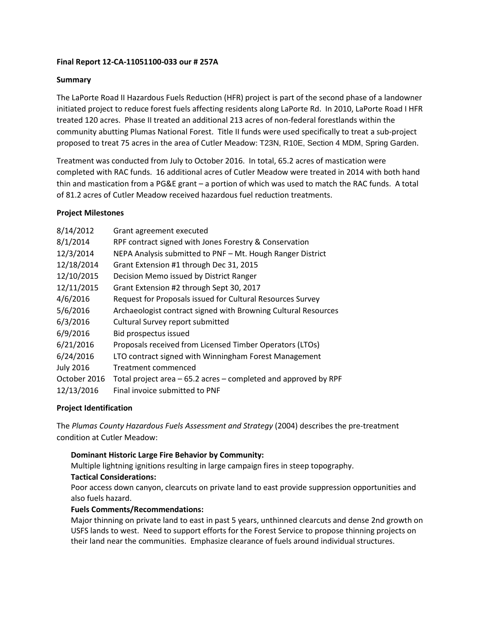## **Final Report 12-CA-11051100-033 our # 257A**

#### **Summary**

The LaPorte Road II Hazardous Fuels Reduction (HFR) project is part of the second phase of a landowner initiated project to reduce forest fuels affecting residents along LaPorte Rd. In 2010, LaPorte Road I HFR treated 120 acres. Phase II treated an additional 213 acres of non-federal forestlands within the community abutting Plumas National Forest. Title II funds were used specifically to treat a sub-project proposed to treat 75 acres in the area of Cutler Meadow: T23N, R10E, Section 4 MDM, Spring Garden.

Treatment was conducted from July to October 2016. In total, 65.2 acres of mastication were completed with RAC funds. 16 additional acres of Cutler Meadow were treated in 2014 with both hand thin and mastication from a PG&E grant – a portion of which was used to match the RAC funds. A total of 81.2 acres of Cutler Meadow received hazardous fuel reduction treatments.

#### **Project Milestones**

| 8/14/2012        | Grant agreement executed                                        |
|------------------|-----------------------------------------------------------------|
| 8/1/2014         | RPF contract signed with Jones Forestry & Conservation          |
| 12/3/2014        | NEPA Analysis submitted to PNF - Mt. Hough Ranger District      |
| 12/18/2014       | Grant Extension #1 through Dec 31, 2015                         |
| 12/10/2015       | Decision Memo issued by District Ranger                         |
| 12/11/2015       | Grant Extension #2 through Sept 30, 2017                        |
| 4/6/2016         | Request for Proposals issued for Cultural Resources Survey      |
| 5/6/2016         | Archaeologist contract signed with Browning Cultural Resources  |
| 6/3/2016         | Cultural Survey report submitted                                |
| 6/9/2016         | Bid prospectus issued                                           |
| 6/21/2016        | Proposals received from Licensed Timber Operators (LTOs)        |
| 6/24/2016        | LTO contract signed with Winningham Forest Management           |
| <b>July 2016</b> | Treatment commenced                                             |
| October 2016     | Total project area – 65.2 acres – completed and approved by RPF |
| 12/13/2016       | Final invoice submitted to PNF                                  |
|                  |                                                                 |

## **Project Identification**

The *Plumas County Hazardous Fuels Assessment and Strategy* (2004) describes the pre-treatment condition at Cutler Meadow:

## **Dominant Historic Large Fire Behavior by Community:**

Multiple lightning ignitions resulting in large campaign fires in steep topography.

## **Tactical Considerations:**

Poor access down canyon, clearcuts on private land to east provide suppression opportunities and also fuels hazard.

## **Fuels Comments/Recommendations:**

Major thinning on private land to east in past 5 years, unthinned clearcuts and dense 2nd growth on USFS lands to west. Need to support efforts for the Forest Service to propose thinning projects on their land near the communities. Emphasize clearance of fuels around individual structures.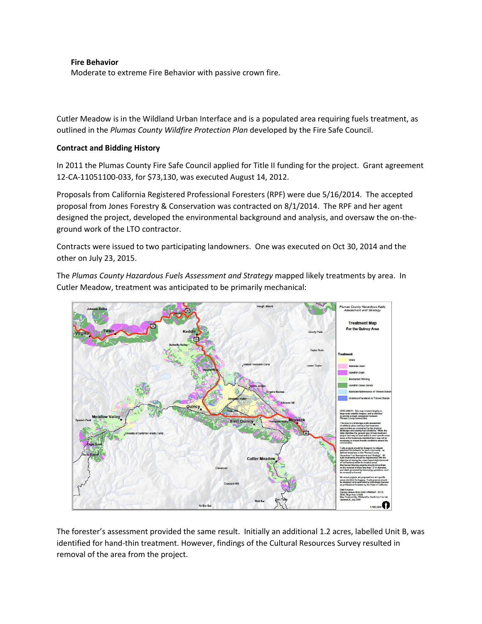#### **Fire Behavior**

Moderate to extreme Fire Behavior with passive crown fire.

Cutler Meadow is in the Wildland Urban Interface and is a populated area requiring fuels treatment, as outlined in the *Plumas County Wildfire Protection Plan* developed by the Fire Safe Council.

## **Contract and Bidding History**

In 2011 the Plumas County Fire Safe Council applied for Title II funding for the project. Grant agreement 12-CA-11051100-033, for \$73,130, was executed August 14, 2012.

Proposals from California Registered Professional Foresters (RPF) were due 5/16/2014. The accepted proposal from Jones Forestry & Conservation was contracted on 8/1/2014. The RPF and her agent designed the project, developed the environmental background and analysis, and oversaw the on-theground work of the LTO contractor.

Contracts were issued to two participating landowners. One was executed on Oct 30, 2014 and the other on July 23, 2015.

The *Plumas County Hazardous Fuels Assessment and Strategy* mapped likely treatments by area. In Cutler Meadow, treatment was anticipated to be primarily mechanical:



The forester's assessment provided the same result. Initially an additional 1.2 acres, labelled Unit B, was identified for hand-thin treatment. However, findings of the Cultural Resources Survey resulted in removal of the area from the project.